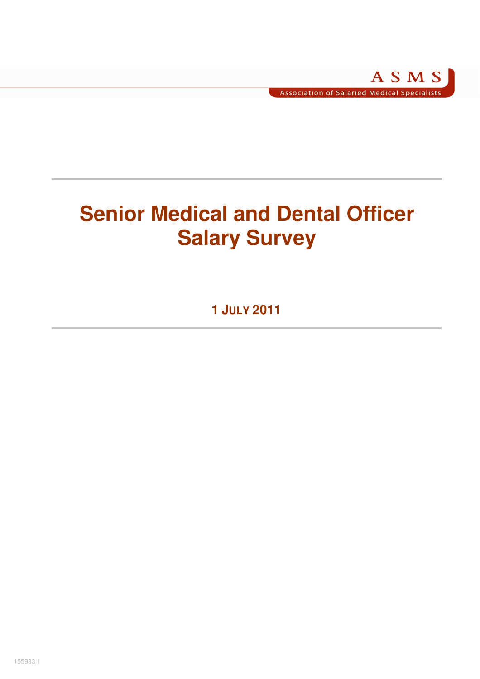# **Senior Medical and Dental Officer Salary Survey**

**1 JULY 2011**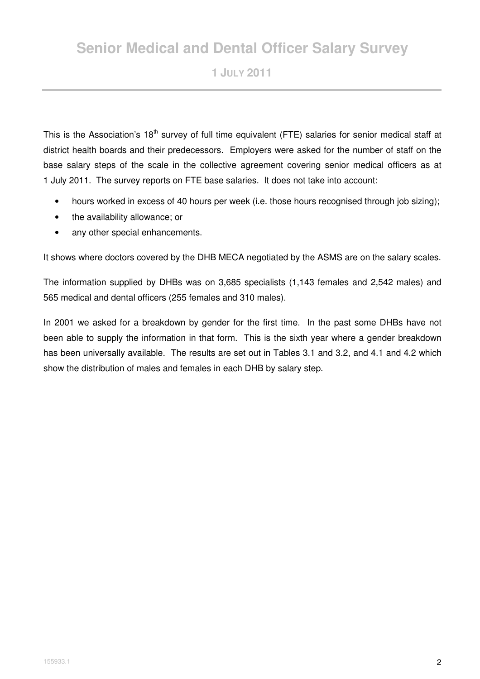# **Senior Medical and Dental Officer Salary Survey**

**1 JULY 2011** 

This is the Association's 18<sup>th</sup> survey of full time equivalent (FTE) salaries for senior medical staff at district health boards and their predecessors. Employers were asked for the number of staff on the base salary steps of the scale in the collective agreement covering senior medical officers as at 1 July 2011. The survey reports on FTE base salaries. It does not take into account:

- hours worked in excess of 40 hours per week (i.e. those hours recognised through job sizing);
- the availability allowance; or
- any other special enhancements.

It shows where doctors covered by the DHB MECA negotiated by the ASMS are on the salary scales.

The information supplied by DHBs was on 3,685 specialists (1,143 females and 2,542 males) and 565 medical and dental officers (255 females and 310 males).

In 2001 we asked for a breakdown by gender for the first time. In the past some DHBs have not been able to supply the information in that form. This is the sixth year where a gender breakdown has been universally available. The results are set out in Tables 3.1 and 3.2, and 4.1 and 4.2 which show the distribution of males and females in each DHB by salary step.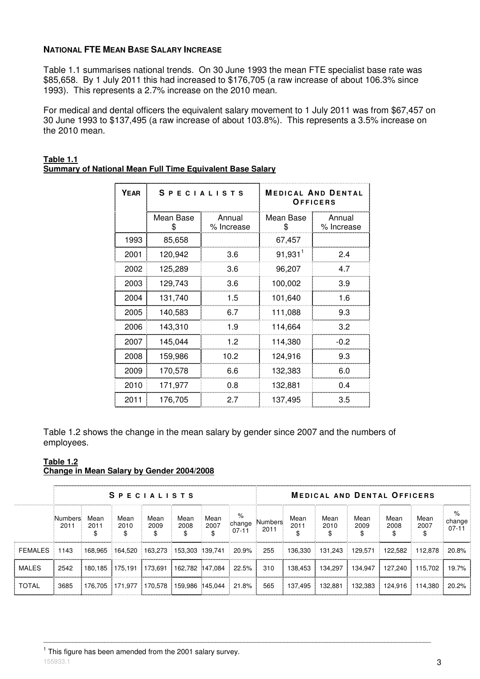#### **NATIONAL FTE MEAN BASE SALARY INCREASE**

Table 1.1 summarises national trends. On 30 June 1993 the mean FTE specialist base rate was \$85,658. By 1 July 2011 this had increased to \$176,705 (a raw increase of about 106.3% since 1993). This represents a 2.7% increase on the 2010 mean.

For medical and dental officers the equivalent salary movement to 1 July 2011 was from \$67,457 on 30 June 1993 to \$137,495 (a raw increase of about 103.8%). This represents a 3.5% increase on the 2010 mean.

| <b>YEAR</b> | <b>SPECIALISTS</b> |                      | <b>MEDICAL AND DENTAL</b><br>OFFICERS |                      |  |  |  |  |
|-------------|--------------------|----------------------|---------------------------------------|----------------------|--|--|--|--|
|             | Mean Base<br>\$    | Annual<br>% Increase | Mean Base<br>\$                       | Annual<br>% Increase |  |  |  |  |
| 1993        | 85,658             |                      | 67,457                                |                      |  |  |  |  |
| 2001        | 120,942            | 3.6                  | $91,931$ <sup>1</sup>                 | 2.4                  |  |  |  |  |
| 2002        | 125,289            | 3.6                  | 96,207                                | 4.7                  |  |  |  |  |
| 2003        | 129,743            | 3.6                  | 100,002                               | 3.9                  |  |  |  |  |
| 2004        | 131,740            | 1.5                  | 101,640                               | 1.6                  |  |  |  |  |
| 2005        | 140,583            | 6.7                  | 111,088                               | 9.3                  |  |  |  |  |
| 2006        | 143,310            | 1.9                  | 114,664                               | 3.2                  |  |  |  |  |
| 2007        | 145,044            | 1.2                  | 114,380                               | $-0.2$               |  |  |  |  |
| 2008        | 159,986            | 10.2                 | 124,916                               | 9.3                  |  |  |  |  |
| 2009        | 170,578            | 6.6                  | 132,383                               | 6.0                  |  |  |  |  |
| 2010        | 171,977            | 0.8                  | 132,881                               | 0.4                  |  |  |  |  |
| 2011        | 176,705            | 2.7                  | 137,495                               | 3.5                  |  |  |  |  |

#### **Table 1.1 Summary of National Mean Full Time Equivalent Base Salary**

Table 1.2 shows the change in the mean salary by gender since 2007 and the numbers of employees.

#### **Table 1.2 Change in Mean Salary by Gender 2004/2008**

|              | <b>SPECIALISTS</b> |              |                                                   |                    |              |                    |                        |                 | <b>MEDICAL AND DENTAL OFFICERS</b> |                    |              |              |              |                          |  |  |
|--------------|--------------------|--------------|---------------------------------------------------|--------------------|--------------|--------------------|------------------------|-----------------|------------------------------------|--------------------|--------------|--------------|--------------|--------------------------|--|--|
|              | :Numbers<br>2011   | Mean<br>2011 | Mean<br>2010                                      | Mean<br>2009<br>\$ | Mean<br>2008 | Mean<br>2007<br>\$ | %<br>change<br>$07-11$ | Numbers<br>2011 | Mean<br>2011                       | Mean<br>2010<br>\$ | Mean<br>2009 | Mean<br>2008 | Mean<br>2007 | %<br>change<br>$07 - 11$ |  |  |
| FEMALES      | 1143               |              | $168.965$ 164.520 163.273 153.303 139.741 20.9% 1 |                    |              |                    |                        | 255             | 136.330                            | 131.243            | 129.571      | 122.582      | 112.878      | 20.8%                    |  |  |
| <b>MALES</b> | 2542               |              | 180,185 175,191 173,691 162,782 147,084 22.5%     |                    |              |                    |                        | 310             | 138.453                            | 134.297            | 134.947      | 127.240      | 115.702      | 19.7%                    |  |  |
| <b>TOTAL</b> | 3685               |              | 176.705 171.977 170.578 159.986 145.044 21.8% 1   |                    |              |                    |                        | 565             | 137.495                            | 132.881            | ⊧ 132.383 ⊧  | 124.916      | 114.380      | $20.2\%$                 |  |  |

\_\_\_\_\_\_\_\_\_\_\_\_\_\_\_\_\_\_\_\_\_\_\_\_\_\_\_\_\_\_\_\_\_\_\_\_\_\_\_\_\_\_\_\_\_\_\_\_\_\_\_\_\_\_\_\_\_\_\_\_\_\_\_\_\_\_\_\_\_\_\_\_\_\_\_\_\_\_\_\_\_\_\_\_\_\_\_\_\_\_\_\_\_\_\_\_\_\_\_\_\_\_\_\_\_\_\_\_

 $155933.1$  **3** <sup>1</sup> This figure has been amended from the 2001 salary survey.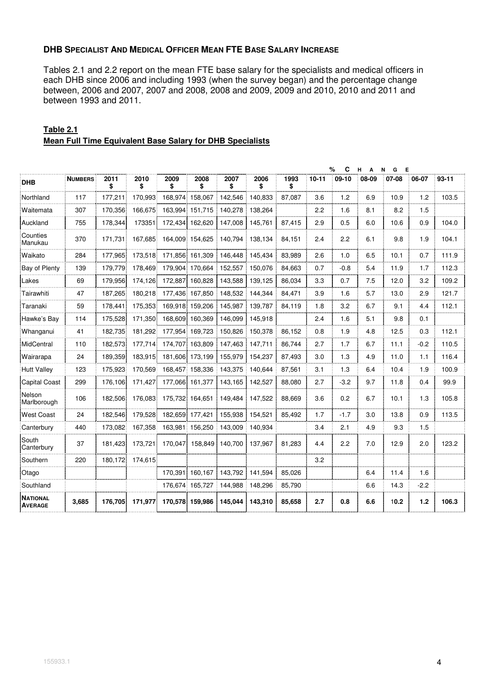### **DHB SPECIALIST AND MEDICAL OFFICER MEAN FTE BASE SALARY INCREASE**

Tables 2.1 and 2.2 report on the mean FTE base salary for the specialists and medical officers in each DHB since 2006 and including 1993 (when the survey began) and the percentage change between, 2006 and 2007, 2007 and 2008, 2008 and 2009, 2009 and 2010, 2010 and 2011 and between 1993 and 2011.

|                                   |                |            |            |                 |                 |            |            |            |           | %<br>C  | н<br>$\mathbf{A}$ | Е<br>N<br>G |        |           |
|-----------------------------------|----------------|------------|------------|-----------------|-----------------|------------|------------|------------|-----------|---------|-------------------|-------------|--------|-----------|
| <b>DHB</b>                        | <b>NUMBERS</b> | 2011<br>\$ | 2010<br>\$ | 2009<br>\$      | 2008<br>\$      | 2007<br>\$ | 2006<br>\$ | 1993<br>\$ | $10 - 11$ | $09-10$ | 08-09             | 07-08       | 06-07  | $93 - 11$ |
| Northland                         | 117            | 177,211    | 170,993    | 168,974         | 158,067         | 142,546    | 140,833    | 87,087     | 3.6       | 1.2     | 6.9               | 10.9        | 1.2    | 103.5     |
| Waitemata                         | 307            | 170,356    | 166.675    | 163.994         | 151.715         | 140.278    | 138,264    |            | 2.2       | 1.6     | 8.1               | 8.2         | 1.5    |           |
| Auckland                          | 755            | 178,344    | 173351     | 172.434         | 162.620         | 147.008    | 145.761    | 87.415     | 2.9       | 0.5     | 6.0               | 10.6        | 0.9    | 104.0     |
| Counties<br>Manukau               | 370            | 171,731    | 167,685    |                 | 164,009 154,625 | 140,794    | 138,134    | 84,151     | 2.4       | 2.2     | 6.1               | 9.8         | 1.9    | 104.1     |
| Waikato                           | 284            | 177,965    | 173,518    |                 | 171,856 161,309 | 146,448    | 145,434    | 83,989     | 2.6       | 1.0     | 6.5               | 10.1        | 0.7    | 111.9     |
| Bay of Plenty                     | 139            | 179,779    | 178,469    |                 | 179,904 170,664 | 152,557    | 150,076    | 84,663     | 0.7       | $-0.8$  | 5.4               | 11.9        | 1.7    | 112.3     |
| Lakes                             | 69             | 179,956    | 174,126    | 172,887         | 160,828         | 143,588    | 139,125    | 86,034     | 3.3       | 0.7     | 7.5               | 12.0        | 3.2    | 109.2     |
| Tairawhiti                        | 47             | 187,265    | 180,218    |                 | 177,436 167,850 | 148,532    | 144,344    | 84,471     | 3.9       | 1.6     | 5.7               | 13.0        | 2.9    | 121.7     |
| Taranaki                          | 59             | 178.441    | 175,353    | 169,918         | 159,206         | 145,987    | 139,787    | 84,119     | 1.8       | 3.2     | 6.7               | 9.1         | 4.4    | 112.1     |
| Hawke's Bay                       | 114            | 175,528    | 171,350    | 168.609         | 160.369         | 146,099    | 145,918    |            | 2.4       | 1.6     | 5.1               | 9.8         | 0.1    |           |
| Whanganui                         | 41             | 182,735    | 181,292    | 177,954         | 169,723         | 150,826    | 150,378    | 86,152     | 0.8       | 1.9     | 4.8               | 12.5        | 0.3    | 112.1     |
| MidCentral                        | 110            | 182,573    | 177,714    |                 | 174,707 163,809 | 147,463    | 147,711    | 86,744     | 2.7       | 1.7     | 6.7               | 11.1        | $-0.2$ | 110.5     |
| Wairarapa                         | 24             | 189,359    | 183,915    |                 | 181,606 173,199 | 155,979    | 154,237    | 87,493     | 3.0       | 1.3     | 4.9               | 11.0        | 1.1    | 116.4     |
| <b>Hutt Valley</b>                | 123            | 175,923    | 170,569    | 168,457         | 158,336         | 143,375    | 140,644    | 87,561     | 3.1       | 1.3     | 6.4               | 10.4        | 1.9    | 100.9     |
| <b>Capital Coast</b>              | 299            | 176,106    | 171,427    | 177,066         | 161,377         | 143,165    | 142,527    | 88,080     | 2.7       | $-3.2$  | 9.7               | 11.8        | 0.4    | 99.9      |
| Nelson<br>Marlborough             | 106            | 182,506    | 176,083    | 175,732 164,651 |                 | 149,484    | 147,522    | 88,669     | 3.6       | 0.2     | 6.7               | 10.1        | 1.3    | 105.8     |
| West Coast                        | 24             | 182,546    | 179,528    |                 | 182,659 177,421 | 155,938    | 154,521    | 85,492     | 1.7       | $-1.7$  | 3.0               | 13.8        | 0.9    | 113.5     |
| Canterbury                        | 440            | 173,082    | 167,358    |                 | 163,981 156,250 | 143,009    | 140,934    |            | 3.4       | 2.1     | 4.9               | 9.3         | 1.5    |           |
| South<br>Canterbury               | 37             | 181.423    | 173.721    | 170.047         | 158.849         | 140.700    | 137,967    | 81.283     | 4.4       | 2.2     | 7.0               | 12.9        | 2.0    | 123.2     |
| Southern                          | 220            | 180,172    | 174,615    |                 |                 |            |            |            | 3.2       |         |                   |             |        |           |
| Otago                             |                |            |            | 170.391         | 160.167         | 143,792    | 141,594    | 85.026     |           |         | 6.4               | 11.4        | 1.6    |           |
| Southland                         |                |            |            | 176,674         | 165,727         | 144,988    | 148,296    | 85,790     |           |         | 6.6               | 14.3        | $-2.2$ |           |
| <b>NATIONAL</b><br><b>AVERAGE</b> | 3,685          | 176,705    | 171,977    |                 | 170,578 159,986 | 145,044    | 143,310    | 85,658     | 2.7       | 0.8     | 6.6               | 10.2        | 1.2    | 106.3     |

# **Table 2.1 Mean Full Time Equivalent Base Salary for DHB Specialists**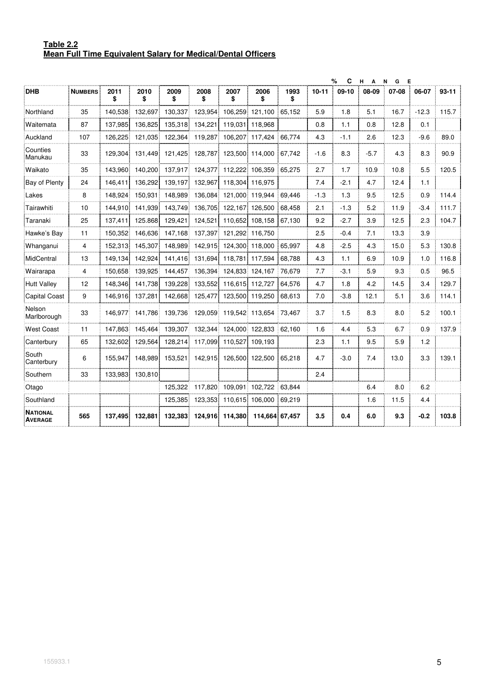#### **Table 2.2 Mean Full Time Equivalent Salary for Medical/Dental Officers**

|                                   |                |            |                 |            |            |                 |                 |            |           | %<br>C  | н.<br>$\overline{A}$ | N<br>E<br>G |         |           |
|-----------------------------------|----------------|------------|-----------------|------------|------------|-----------------|-----------------|------------|-----------|---------|----------------------|-------------|---------|-----------|
| <b>DHB</b>                        | <b>NUMBERS</b> | 2011<br>\$ | 2010<br>\$      | 2009<br>\$ | 2008<br>\$ | 2007<br>\$      | 2006<br>\$      | 1993<br>\$ | $10 - 11$ | $09-10$ | 08-09                | 07-08       | 06-07   | $93 - 11$ |
| Northland                         | 35             | 140,538    | 132,697         | 130,337    | 123,954    | 106,259         | 121,100         | 65,152     | 5.9       | 1.8     | 5.1                  | 16.7        | $-12.3$ | 115.7     |
| Waitemata                         | 87             | 137,985    | 136,825         | 135,318    | 134,221    | 119,031         | 118,968         |            | 0.8       | 1.1     | 0.8                  | 12.8        | 0.1     |           |
| Auckland                          | 107            | 126,225    | 121,035         | 122,364    | 119,287    | 106,207         | 117,424         | 66,774     | 4.3       | $-1.1$  | 2.6                  | 12.3        | $-9.6$  | 89.0      |
| Counties<br>Manukau               | 33             | 129,304    | 131,449         | 121,425    | 128,787    |                 | 123,500 114,000 | 67,742     | $-1.6$    | 8.3     | $-5.7$               | 4.3         | 8.3     | 90.9      |
| Waikato                           | 35             | 143.960    | 140.200         | 137,917    | 124,377    | 112.222         | 106.359         | 65.275     | 2.7       | 1.7     | 10.9                 | 10.8        | 5.5     | 120.5     |
| Bay of Plenty                     | 24             | 146,411    | 136,292         | 139,197    | 132,967    | 118,304         | 116,975         |            | 7.4       | $-2.1$  | 4.7                  | 12.4        | 1.1     |           |
| Lakes                             | 8              | 148,924    | 150,931         | 148,989    | 136,084    | 121,000         | 119,944         | 69,446     | $-1.3$    | 1.3     | 9.5                  | 12.5        | 0.9     | 114.4     |
| Tairawhiti                        | 10             | 144,910    | 141,939         | 143,749    | 136,705    | 122,167         | 126,500         | 68,458     | 2.1       | $-1.3$  | 5.2                  | 11.9        | -3.4    | 111.7     |
| Taranaki                          | 25             | 137.411    | 125.868         | 129,421    | 124,521    | 110,652         | 108.158         | 67,130     | 9.2       | $-2.7$  | 3.9                  | 12.5        | 2.3     | 104.7     |
| Hawke's Bay                       | 11             | 150,352    | 146,636         | 147,168    | 137,397    | 121,292         | 116,750         |            | 2.5       | $-0.4$  | 7.1                  | 13.3        | 3.9     |           |
| Whanganui                         | 4              | 152,313    | 145,307         | 148.989    | 142,915    | 124,300         | 118,000         | 65.997     | 4.8       | $-2.5$  | 4.3                  | 15.0        | 5.3     | 130.8     |
| MidCentral                        | 13             | 149,134    | 142,924         | 141,416    | 131,694    | 118,781         | 117,594         | 68,788     | 4.3       | 1.1     | 6.9                  | 10.9        | 1.0     | 116.8     |
| Wairarapa                         | 4              | 150.658    | 139,925         | 144,457    | 136,394    |                 | 124,833 124,167 | 76,679     | 7.7       | $-3.1$  | 5.9                  | 9.3         | 0.5     | 96.5      |
| <b>Hutt Valley</b>                | 12             | 148,346    | 141,738         | 139,228    | 133,552    | 116,615         | 112,727         | 64,576     | 4.7       | 1.8     | 4.2                  | 14.5        | 3.4     | 129.7     |
| <b>Capital Coast</b>              | 9              | 146,916    | 137,281         | 142,668    | 125,477    | 123,500         | 119,250         | 68,613     | 7.0       | $-3.8$  | 12.1                 | 5.1         | 3.6     | 114.1     |
| Nelson<br>Marlborough             | 33             | 146.977    | 141,786         | 139,736    | 129,059    |                 | 119,542 113,654 | 73,467     | 3.7       | 1.5     | 8.3                  | 8.0         | 5.2     | 100.1     |
| <b>West Coast</b>                 | 11             | 147,863    | 145,464         | 139,307    | 132,344    |                 | 124,000 122,833 | 62,160     | 1.6       | 4.4     | 5.3                  | 6.7         | 0.9     | 137.9     |
| Canterbury                        | 65             | 132,602    | 129,564         | 128,214    | 117,099    | 110,527         | 109,193         |            | 2.3       | 1.1     | 9.5                  | 5.9         | 1.2     |           |
| South<br>Canterbury               | 6              | 155,947    | 148,989         | 153,521    | 142,915    | 126,500         | 122,500         | 65,218     | 4.7       | $-3.0$  | 7.4                  | 13.0        | 3.3     | 139.1     |
| Southern                          | 33             |            | 133,983 130,810 |            |            |                 |                 |            | 2.4       |         |                      |             |         |           |
| Otago                             |                |            |                 | 125,322    | 117,820    | 109,091         | 102,722         | 63,844     |           |         | 6.4                  | 8.0         | 6.2     |           |
| Southland                         |                |            |                 | 125,385    | 123,353    | 110,615         | 106,000         | 69,219     |           |         | 1.6                  | 11.5        | 4.4     |           |
| <b>NATIONAL</b><br><b>AVERAGE</b> | 565            | 137,495    | 132,881         | 132,383    |            | 124,916 114,380 | 114,664 67,457  |            | 3.5       | 0.4     | 6.0                  | 9.3         | $-0.2$  | 103.8     |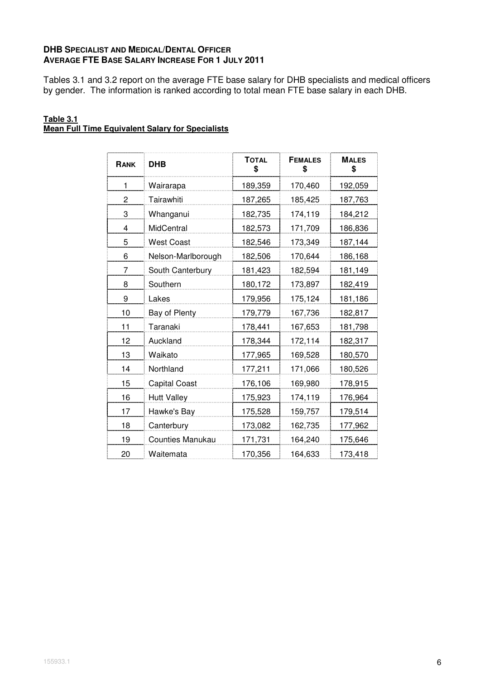# **DHB SPECIALIST AND MEDICAL/DENTAL OFFICER AVERAGE FTE BASE SALARY INCREASE FOR 1 JULY 2011**

Tables 3.1 and 3.2 report on the average FTE base salary for DHB specialists and medical officers by gender. The information is ranked according to total mean FTE base salary in each DHB.

#### **Table 3.1 Mean Full Time Equivalent Salary for Specialists**

| RANK | <b>DHB</b>           | <b>TOTAL</b><br>\$ | <b>FEMALES</b><br>\$ | <b>MALES</b><br>\$ |
|------|----------------------|--------------------|----------------------|--------------------|
| 1    | Wairarapa            | 189,359            | 170,460              | 192,059            |
| 2    | Tairawhiti           | 187,265            | 185,425              | 187,763            |
| 3    | Whanganui            | 182,735            | 174,119              | 184,212            |
| 4    | MidCentral           | 182,573            | 171,709              | 186,836            |
| 5    | <b>West Coast</b>    | 182,546            | 173,349              | 187,144            |
| 6    | Nelson-Marlborough   | 182,506            | 170,644              | 186,168            |
| 7    | South Canterbury     | 181,423            | 182,594              | 181,149            |
| 8    | Southern             | 180,172            | 173,897              | 182,419            |
| 9    | Lakes                | 179,956            | 175,124              | 181,186            |
| 10   | Bay of Plenty        | 179,779            | 167,736              | 182,817            |
| 11   | Taranaki             | 178,441            | 167,653              | 181,798            |
| 12   | Auckland             | 178,344            | 172,114              | 182,317            |
| 13   | Waikato              | 177,965            | 169,528              | 180,570            |
| 14   | Northland            | 177,211            | 171,066              | 180,526            |
| 15   | <b>Capital Coast</b> | 176,106            | 169,980              | 178,915            |
| 16   | <b>Hutt Valley</b>   | 175,923            | 174,119              | 176,964            |
| 17   | Hawke's Bay          | 175,528            | 159,757              | 179,514            |
| 18   | Canterbury           | 173,082            | 162,735              | 177,962            |
| 19   | Counties Manukau     | 171,731            | 164,240              | 175,646            |
| 20   | Waitemata            | 170,356            | 164,633              | 173,418            |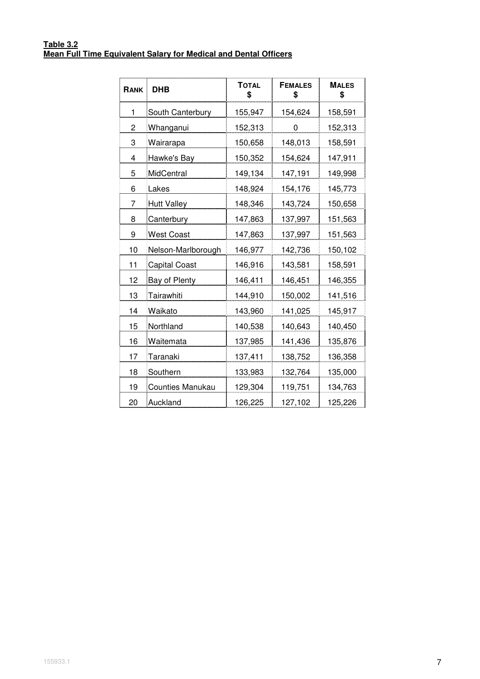#### **Table 3.2 Mean Full Time Equivalent Salary for Medical and Dental Officers**

| RANK | <b>DHB</b>           | <b>TOTAL</b><br>\$ | <b>FEMALES</b><br>\$ | <b>MALES</b><br>\$ |
|------|----------------------|--------------------|----------------------|--------------------|
| 1    | South Canterbury     | 155,947            | 154,624              | 158,591            |
| 2    | Whanganui            | 152,313            | 0                    | 152,313            |
| 3    | Wairarapa            | 150,658            | 148,013              | 158,591            |
| 4    | Hawke's Bay          | 150,352            | 154,624              | 147,911            |
| 5    | MidCentral           | 149,134            | 147,191              | 149,998            |
| 6    | Lakes                | 148,924            | 154,176              | 145,773            |
| 7    | <b>Hutt Valley</b>   | 148,346            | 143,724              | 150,658            |
| 8    | Canterbury           | 147,863            | 137,997              | 151,563            |
| 9    | <b>West Coast</b>    | 147,863            | 137,997              | 151,563            |
| 10   | Nelson-Marlborough   | 146,977            | 142,736              | 150,102            |
| 11   | <b>Capital Coast</b> | 146,916            | 143,581              | 158,591            |
| 12   | Bay of Plenty        | 146,411            | 146,451              | 146,355            |
| 13   | Tairawhiti           | 144,910            | 150,002              | 141,516            |
| 14   | Waikato              | 143,960            | 141,025              | 145,917            |
| 15   | Northland            | 140,538            | 140,643              | 140,450            |
| 16   | Waitemata            | 137,985            | 141,436              | 135,876            |
| 17   | Taranaki             | 137,411            | 138,752              | 136,358            |
| 18   | Southern             | 133,983            | 132,764              | 135,000            |
| 19   | Counties Manukau     | 129,304            | 119,751              | 134,763            |
| 20   | Auckland             | 126,225            | 127,102              | 125,226            |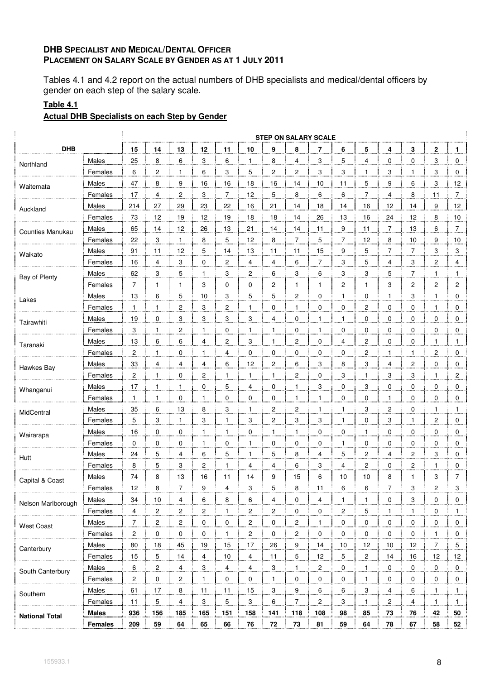# **DHB SPECIALIST AND MEDICAL/DENTAL OFFICER PLACEMENT ON SALARY SCALE BY GENDER AS AT 1 JULY 2011**

Tables 4.1 and 4.2 report on the actual numbers of DHB specialists and medical/dental officers by gender on each step of the salary scale.

# **Table 4.1**

# **Actual DHB Specialists on each Step by Gender**

|                       |              |                |                |                         |              |                |                |                         | <b>STEP ON SALARY SCALE</b> |                          |                |                |                |                         |                         |                |
|-----------------------|--------------|----------------|----------------|-------------------------|--------------|----------------|----------------|-------------------------|-----------------------------|--------------------------|----------------|----------------|----------------|-------------------------|-------------------------|----------------|
| <b>DHB</b>            |              | 15             | 14             | 13                      | 12           | 11             | 10             | 9                       | 8                           | 7                        | 6              | 5              | 4              | 3                       | 2                       | $\mathbf{1}$   |
| Northland             | Males        | 25             | 8              | 6                       | 3            | 6              | $\mathbf{1}$   | 8                       | 4                           | 3                        | 5              | 4              | 0              | 0                       | 3                       | 0              |
|                       | Females      | 6              | 2              | 1                       | 6            | 3              | 5              | 2                       | $\overline{c}$              | $\overline{3}$           | $\overline{3}$ | 1              | 3              | 1                       | 3                       | 0              |
| Waitemata             | Males        | 47             | 8              | 9                       | 16           | 16             | 18             | 16                      | 14                          | 10                       | 11             | 5              | 9              | 6                       | 3                       | 12             |
|                       | Females      | 17             | 4              | $\overline{\mathbf{c}}$ | 3            | $\overline{7}$ | 12             | 5                       | 8                           | 6                        | 6              | $\overline{7}$ | 4              | 8                       | 11                      | $\overline{7}$ |
| Auckland              | Males        | 214            | 27             | 29                      | 23           | 22             | 16             | 21                      | 14                          | 18                       | 14             | 16             | 12             | 14                      | 9                       | 12             |
|                       | Females      | 73             | 12             | 19                      | 12           | 19             | 18             | 18                      | 14                          | 26                       | 13             | $16$           | 24             | 12                      | 8                       | 10             |
| Counties Manukau      | Males        | 65             | 14             | 12                      | 26           | 13             | 21             | 14                      | 14                          | 11                       | 9              | 11             | $\overline{7}$ | 13                      | 6                       | $\overline{7}$ |
|                       | Females      | 22             | 3              | $\mathbf{1}$            | 8            | 5              | 12             | 8                       | $\overline{7}$              | 5                        | $\overline{7}$ | 12             | 8              | 10                      | 9                       | 10             |
| Waikato               | Males        | 91             | 11             | 12                      | 5            | 14             | 13             | 11                      | 11                          | 15                       | 9              | 5              | 7              | 7                       | 3                       | 3              |
|                       | Females      | 16             | 4              | 3                       | 0            | $\mathbf 2$    | 4              | $\overline{4}$          | 6                           | $\overline{\mathcal{I}}$ | 3              | 5              | 4              | 3                       | $\overline{\mathbf{c}}$ | 4              |
| Bay of Plenty         | Males        | 62             | 3              | 5                       | $\mathbf{1}$ | 3              | 2              | 6                       | 3                           | 6                        | 3              | 3              | 5              | 7                       | 1                       | $\mathbf{1}$   |
|                       | Females      | 7              | 1              | 1                       | 3            | 0              | 0              | 2                       | $\mathbf{1}$                | 1                        | 2              | 1              | 3              | 2                       | 2                       | 2              |
| Lakes                 | Males        | 13             | 6              | 5                       | 10           | 3              | 5              | 5                       | $\sqrt{2}$                  | 0                        | $\mathbf{1}$   | 0              | 1              | 3                       | $\mathbf{1}$            | 0              |
|                       | Females      | $\mathbf{1}$   | $\mathbf{1}$   | 2                       | 3            | 2              | $\mathbf{1}$   | 0                       | $\mathbf{1}$                | 0                        | 0              | 2              | 0              | 0                       | $\mathbf{1}$            | 0              |
| Tairawhiti            | Males        | 19             | 0              | 3                       | 3            | 3              | 3              | 4                       | 0                           | 1                        | 1              | 0              | 0              | 0                       | 0                       | 0              |
|                       | Females      | 3              | $\mathbf{1}$   | $\overline{c}$          | 1            | 0              | $\mathbf{1}$   | 1                       | 0                           | $\mathbf{1}$             | 0              | 0              | 0              | 0                       | 0                       | 0              |
| Taranaki              | Males        | 13             | 6              | 6                       | 4            | $\overline{c}$ | 3              | 1                       | $\overline{c}$              | 0                        | 4              | 2              | 0              | 0                       | 1                       | $\mathbf{1}$   |
|                       | Females      | 2              | 1              | 0                       | 1            | 4              | 0              | 0                       | 0                           | 0                        | 0              | 2              | 1              | $\mathbf{1}$            | $\overline{\mathbf{c}}$ | 0              |
| Hawkes Bay            | Males        | 33             | 4              | 4                       | 4            | 6              | 12             | $\mathbf{2}$            | 6                           | 3                        | 8              | 3              | 4              | $\boldsymbol{2}$        | 0                       | 0              |
|                       | Females      | 2              | $\mathbf{1}$   | 0                       | 2            | $\mathbf{1}$   | $\mathbf{1}$   | $\mathbf{1}$            | $\overline{c}$              | 0                        | 3              | $\mathbf{1}$   | 3              | 3                       | $\mathbf{1}$            | 2              |
| Whanganui             | Males        | 17             | 1              | 1                       | 0            | 5              | 4              | $\pmb{0}$               | $\mathbf{1}$                | 3                        | 0              | 3              | 0              | 0                       | 0                       | 0              |
|                       | Females      | 1              | $\mathbf{1}$   | 0                       | 1            | 0              | 0              | 0                       | $\mathbf{1}$                | $\mathbf{1}$             | 0              | 0              | 1              | 0                       | 0                       | 0              |
| MidCentral            | Males        | 35             | 6              | 13                      | 8            | 3              | $\mathbf{1}$   | $\overline{\mathbf{c}}$ | $\overline{c}$              | 1                        | $\mathbf{1}$   | 3              | 2              | 0                       | 1                       | $\mathbf{1}$   |
|                       | Females      | 5              | 3              | $\mathbf{1}$            | 3            | $\mathbf{1}$   | 3              | $\overline{\mathbf{c}}$ | 3                           | 3                        | 1              | 0              | 3              | $\mathbf{1}$            | 2                       | 0              |
| Wairarapa             | Males        | 16             | $\pmb{0}$      | 0                       | 1            | $\mathbf{1}$   | 0              | $\mathbf{1}$            | $\mathbf{1}$                | 0                        | 0              | 1              | 0              | 0                       | 0                       | 0              |
|                       | Females      | 0              | 0              | 0                       | 1            | 0              | $\mathbf{1}$   | 0                       | 0                           | 0                        | 1              | 0              | 0              | 0                       | 0                       | 0              |
| Hutt                  | Males        | 24             | 5              | 4                       | 6            | 5              | 1              | 5                       | 8                           | 4                        | 5              | 2              | 4              | $\overline{\mathbf{c}}$ | 3                       | 0              |
|                       | Females      | 8              | $\mathbf 5$    | 3                       | 2            | $\mathbf{1}$   | 4              | 4                       | 6                           | 3                        | 4              | 2              | 0              | $\boldsymbol{2}$        | 1                       | 0              |
| Capital & Coast       | Males        | 74             | 8              | 13                      | 16           | 11             | 14             | 9                       | 15                          | 6                        | 10             | 10             | 8              | 1                       | 3                       | $\overline{7}$ |
|                       | Females      | 12             | 8              | 7                       | 9            | 4              | 3              | 5                       | 8                           | 11                       | 6              | 6              | 7              | 3                       | 2                       | 3              |
| Nelson Marlborough    | Males        | 34             | 10             | 4                       | 6            | 8              | 6              | 4                       | 0                           | 4                        | 1              | 1              | 0              | 3                       | 0                       | 0              |
|                       | Females      | 4              | 2              | $\overline{\mathbf{c}}$ | 2            | $\mathbf{1}$   | $\mathbf{2}$   | 2                       | 0                           | 0                        | 2              | 5              | 1              | $\mathbf{1}$            | 0                       | 1              |
| <b>West Coast</b>     | Males        | 7              | $\overline{c}$ | $\overline{c}$          | 0            | 0              | $\overline{c}$ | 0                       | 2                           | $\mathbf{1}$             | 0              | 0              | $\mathbf 0$    | 0                       | 0                       | 0              |
|                       | Females      | 2              | $\pmb{0}$      | $\mathbf 0$             | 0            | $\mathbf{1}$   | 2              | 0                       | 2                           | 0                        | 0              | 0              | 0              | 0                       | 1                       | 0              |
| Canterbury            | Males        | 80             | 18             | 45                      | 19           | 15             | 17             | 26                      | 9                           | 14                       | 10             | 12             | 10             | 12                      | $\overline{7}$          | 5              |
|                       | Females      | 15             | 5              | 14                      | 4            | 10             | $\overline{4}$ | 11                      | 5                           | 12                       | 5              | $\overline{c}$ | 14             | 16                      | 12                      | 12             |
| South Canterbury      | Males        | 6              | 2              | 4                       | 3            | 4              | 4              | 3                       | $\mathbf{1}$                | 2                        | 0              | 1              | 0              | 0                       | $\mathbf 0$             | 0              |
|                       | Females      | $\overline{c}$ | $\pmb{0}$      | $\overline{c}$          | 1            | 0              | $\mathbf 0$    | $\mathbf{1}$            | 0                           | 0                        | 0              | $\mathbf{1}$   | 0              | 0                       | 0                       | 0              |
| Southern              | Males        | 61             | 17             | 8                       | 11           | 11             | 15             | 3                       | 9                           | 6                        | 6              | 3              | 4              | 6                       | $\mathbf{1}$            | $\mathbf{1}$   |
|                       | Females      | 11             | 5              | $\overline{4}$          | 3            | 5              | 3              | 6                       | $\overline{7}$              | 2                        | 3              | $\mathbf{1}$   | 2              | 4                       | $\mathbf{1}$            | $\mathbf{1}$   |
| <b>National Total</b> | <b>Males</b> | 936            | 156            | 185                     | 165          | 151            | 158            | 141                     | 118                         | 108                      | 98             | 85             | 73             | 76                      | 42                      | 50             |
|                       | Females      | 209            | 59             | 64                      | 65           | 66             | 76             | 72                      | 73                          | 81                       | 59             | 64             | 78             | 67                      | 58                      | 52             |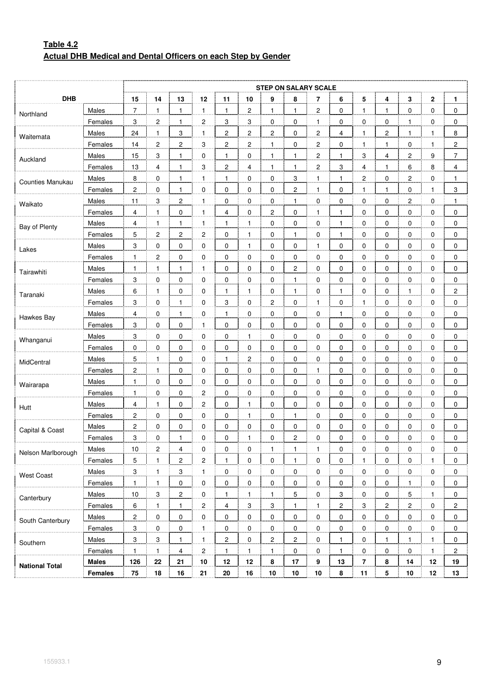# **Table 4.2 Actual DHB Medical and Dental Officers on each Step by Gender**

|                       |              |                |                  |                         |                         |                |                |                  |                           | <b>STEP ON SALARY SCALE</b> |                |                |                |                |              |                         |
|-----------------------|--------------|----------------|------------------|-------------------------|-------------------------|----------------|----------------|------------------|---------------------------|-----------------------------|----------------|----------------|----------------|----------------|--------------|-------------------------|
| <b>DHB</b>            |              | 15             | 14               | 13                      | 12                      | 11             | 10             | 9                | 8                         | 7                           | 6              | 5              | 4              | 3              | 2            | $\mathbf{1}$            |
| Northland             | Males        | $\overline{7}$ | $\mathbf{1}$     | $\mathbf{1}$            | $\mathbf{1}$            | $\mathbf{1}$   | 2              | $\mathbf{1}$     | $\mathbf{1}$              | 2                           | 0              | 1              | $\mathbf{1}$   | 0              | 0            | 0                       |
|                       | Females      | 3              | $\overline{c}$   | $\mathbf{1}$            | $\overline{c}$          | 3              | 3              | $\overline{0}$   | $\mathbf 0$               | 1                           | 0              | $\overline{0}$ | $\overline{0}$ | 1              | 0            | 0                       |
| Waitemata             | Males        | 24             | 1                | 3                       | $\mathbf{1}$            | 2              | 2              | 2                | $\mathbf 0$               | 2                           | 4              | $\mathbf{1}$   | 2              | $\mathbf{1}$   | $\mathbf{1}$ | 8                       |
|                       | Females      | 14             | $\boldsymbol{2}$ | $\overline{\mathbf{c}}$ | 3                       | $\overline{c}$ | 2              | $\mathbf{1}$     | $\pmb{0}$                 | 2                           | 0              | 1              | $\mathbf{1}$   | 0              | $\mathbf{1}$ | $\boldsymbol{2}$        |
| Auckland              | Males        | 15             | 3                | 1                       | $\overline{0}$          | 1              | $\mathbf 0$    | <u>.1</u>        | $\mathbf{1}$              | 2                           | 1              | 3              | 4              | 2              | 9            | $\overline{7}$          |
|                       | Females      | 13             | 4                | $\mathbf{1}$            | 3                       | 2              | 4              | $\mathbf{1}$     | $\mathbf{1}$              | $\overline{\mathbf{c}}$     | 3              | 4              | $\mathbf{1}$   | 6              | 8            | 4                       |
| Counties Manukau      | Males        | 8              | 0                | $\mathbf{1}$            | $\mathbf{1}$            | $\mathbf{1}$   | 0              | $\pmb{0}$        | $\ensuremath{\mathsf{3}}$ | 1                           | $\mathbf{1}$   | 2              | 0              | 2              | 0            | 1                       |
|                       | Females      | 2              | 0                | $\mathbf{1}$            | $\overline{0}$          | 0              | 0              | $\overline{0}$   | $\overline{c}$            | 1                           | 0              | 1              | $\mathbf{1}$   | 0              | $\mathbf{1}$ | 3                       |
| Waikato               | Males        | 11             | 3                | $\overline{\mathbf{c}}$ | $\mathbf{1}$            | 0              | 0              | $\mathbf 0$      | 1                         | 0                           | 0              | 0              | 0              | $\overline{c}$ | 0            | 1                       |
|                       | Females      | 4              | $\mathbf{1}$     | 0                       | $\mathbf{1}$            | 4              | 0              | $\boldsymbol{2}$ | $\pmb{0}$                 | 1                           | $\mathbf{1}$   | $\pmb{0}$      | 0              | 0              | 0            | 0                       |
| Bay of Plenty         | Males        | 4              | 1                | 1                       | 1                       | 1              | $\mathbf{1}$   | $\overline{0}$   | $\mathbf 0$               | 0                           | 1              | 0              | 0              | 0              | 0            | 0                       |
|                       | Females      | 5              | 2                | $\overline{\mathbf{c}}$ | 2                       | 0              | $\mathbf{1}$   | $\overline{0}$   | 1                         | 0                           | 1              | 0              | 0              | 0              | 0            | 0                       |
| Lakes                 | Males        | 3              | $\pmb{0}$        | 0                       | 0                       | 0              | $\mathbf{1}$   | $\pmb{0}$        | $\pmb{0}$                 | 1                           | 0              | $\pmb{0}$      | 0              | 0              | 0            | 0                       |
|                       | Females      | 1              | $\overline{c}$   | 0                       | $\overline{0}$          | 0              | $\pmb{0}$      | $\overline{0}$   | $\mathbf 0$               | 0                           | 0              | 0              | 0              | 0              | 0            | 0                       |
| Tairawhiti            | Males        | 1              | 1                | $\mathbf{1}$            | $\mathbf{1}$            | 0              | 0              | 0                | 2                         | 0                           | 0              | 0              | 0              | 0              | 0            | 0                       |
|                       | Females      | 3              | $\mathbf 0$      | 0                       | 0                       | 0              | 0              | $\pmb{0}$        | $\mathbf{1}$              | 0                           | 0              | $\pmb{0}$      | 0              | 0              | 0            | 0                       |
| Taranaki              | Males        | 6              | 1                | 0                       | $\overline{0}$          | 1              | 1              | $\overline{0}$   | $\mathbf{1}$              | 0                           | 1              | 0              | 0              | 1              | 0            | $\overline{\mathbf{c}}$ |
|                       | Females      | 3              | 0                | 1                       | $\overline{0}$          | 3              | $\mathbf 0$    | $\overline{c}$   | $\mathbf 0$               | 1                           | 0              | $\mathbf{1}$   | 0              | $\overline{0}$ | 0            | 0                       |
|                       | Males        | 4              | 0                | $\mathbf{1}$            | 0                       | 1              | 0              | $\pmb{0}$        | $\pmb{0}$                 | 0                           | 1              | 0              | 0              | 0              | 0            | 0                       |
| Hawkes Bay            | Females      | 3              | 0                | 0                       | 1                       | 0              | 0              | $\overline{0}$   | $\mathbf 0$               | 0                           | 0              | 0              | 0              | 0              | 0            | 0                       |
| Whanganui             | Males        | 3              | 0                | $\pmb{0}$               | $\overline{0}$          | 0              | $\overline{1}$ | $\overline{0}$   | 0                         | 0                           | 0              | 0              | 0              | $\overline{0}$ | 0            | 0                       |
|                       | Females      | 0              | $\mathbf 0$      | 0                       | 0                       | 0              | 0              | $\pmb{0}$        | $\pmb{0}$                 | 0                           | 0              | $\mathbf 0$    | 0              | 0              | 0            | 0                       |
| MidCentral            | Males        | 5              | 1                | 0                       | $\overline{0}$          | 1              | 2              | $\overline{0}$   | $\mathbf 0$               | 0                           | 0              | 0              | 0              | 0              | 0            | 0                       |
|                       | Females      | $\overline{c}$ | $\mathbf{1}$     | 0                       | 0                       | 0              | $\overline{0}$ | $\overline{0}$   | 0                         | 1                           | 0              | $\overline{0}$ | $\overline{0}$ | $\overline{0}$ | 0            | 0                       |
| Wairarapa             | Males        | 1              | 0                | 0                       | 0                       | 0              | 0              | $\pmb{0}$        | $\pmb{0}$                 | 0                           | 0              | $\pmb{0}$      | 0              | 0              | 0            | 0                       |
|                       | Females      | 1              | 0                | $\pmb{0}$               | $\overline{c}$          | 0              | $\pmb{0}$      | $\overline{0}$   | $\mathbf 0$               | 0                           | 0              | $\overline{0}$ | 0              | 0              | 0            | 0                       |
| Hutt                  | Males        | 4              | 1                | $\pmb{0}$               | $\overline{\mathbf{c}}$ | 0              | $\mathbf{1}$   | $\overline{0}$   | $\mathbf 0$               | 0                           | 0              | 0              | 0              | 0              | 0            | 0                       |
|                       | Females      | 2              | $\mathbf 0$      | 0                       | 0                       | 0              | $\mathbf{1}$   | $\pmb{0}$        | $\mathbf{1}$              | 0                           | 0              | $\mathbf 0$    | 0              | 0              | 0            | 0                       |
| Capital & Coast       | Males        | 2              | 0                | $\pmb{0}$               | $\overline{0}$          | 0              | 0              | 0                | 0                         | 0                           | 0              | 0              | 0              | 0              | 0            | 0                       |
|                       | Females      | 3              | $\Omega$         | 1                       | 0                       | $\Omega$       | 1              | $\Omega$         | $\overline{c}$            | 0                           | $\Omega$       | 0              | 0              | $\Omega$       | $\Omega$     | 0                       |
| Nelson Marlborough    | Males        | 10             | $\overline{c}$   | 4                       | 0                       | 0              | 0              | $\mathbf{1}$     | $\mathbf{1}$              | 1                           | $\mathbf 0$    | 0              | 0              | 0              | 0            | 0                       |
|                       | Females      | 5              | $\mathbf{1}$     | $\mathbf{2}$            | 2                       | $\mathbf{1}$   | $\pmb{0}$      | $\overline{0}$   | $\mathbf{1}$              | 0                           | 0              | 1              | $\mathbf 0$    | 0              | 1            | 0                       |
| <b>West Coast</b>     | Males        | 3              | $\mathbf{1}$     | 3                       | $\mathbf{1}$            | 0              | $\overline{0}$ | $\overline{0}$   | 0                         | 0                           | $\mathbf 0$    | 0              | $\mathbf 0$    | $\overline{0}$ | 0            | 0                       |
|                       | Females      | $\mathbf{1}$   | $\mathbf{1}$     | $\mathbf 0$             | $\mathbf 0$             | 0              | 0              | $\pmb{0}$        | 0                         | $\mathbf 0$                 | 0              | 0              | $\pmb{0}$      | $\mathbf{1}$   | $\mathbf 0$  | $\pmb{0}$               |
| Canterbury            | Males        | 10             | 3                | $\overline{c}$          | $\overline{0}$          | $\mathbf{1}$   | 1              | $\mathbf{1}$     | 5                         | 0                           | 3              | 0              | 0              | 5              | $\mathbf{1}$ | 0                       |
|                       | Females      | 6              | $\mathbf{1}$     | $\mathbf{1}$            | $\overline{2}$          | 4              | $\overline{3}$ | $\overline{3}$   | $\mathbf{1}$              | $\mathbf{1}$                | $\overline{c}$ | 3              | $\overline{2}$ | $\overline{2}$ | 0            | 2                       |
| South Canterbury      | Males        | $\overline{c}$ | 0                | $\mathbf 0$             | 0                       | 0              | 0              | $\pmb{0}$        | 0                         | $\mathbf 0$                 | $\mathbf 0$    | 0              | 0              | 0              | 0            | 0                       |
|                       | Females      | $\sqrt{3}$     | 0                | $\pmb{0}$               | $\mathbf{1}$            | 0              | 0              | $\overline{0}$   | 0                         | 0                           | 0              | 0              | 0              | 0              | 0            | 0                       |
| Southern              | Males        | 3              | 3                | $\mathbf{1}$            | $\mathbf{1}$            | 2              | $\overline{0}$ | $\overline{2}$   | $\overline{c}$            | 0                           | $\mathbf{1}$   | $\mathbf 0$    | $\mathbf{1}$   | 1              | 1            | 0                       |
|                       | Females      | $\mathbf{1}$   | $\mathbf{1}$     | $\overline{4}$          | $\overline{c}$          | $\mathbf{1}$   | $\mathbf{1}$   | $\overline{1}$   | 0                         | $\mathbf 0$                 | $\mathbf{1}$   | 0              | $\pmb{0}$      | 0              | $\mathbf{1}$ | 2                       |
| <b>National Total</b> | <b>Males</b> | 126            | 22               | 21                      | 10                      | 12             | 12             | 8                | 17                        | 9                           | 13             | 7              | 8              | 14             | 12           | 19                      |
|                       | Females      | 75             | 18               | 16                      | 21                      | 20             | 16             | 10               | 10                        | 10                          | 8              | 11             | 5              | 10             | 12           | 13                      |